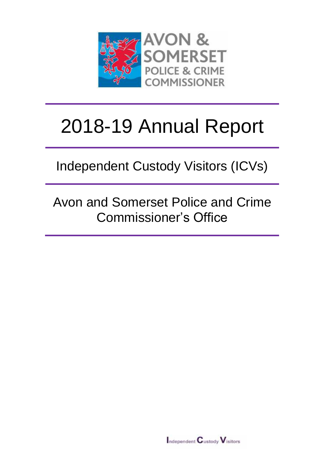

# 2018-19 Annual Report

Independent Custody Visitors (ICVs)

Avon and Somerset Police and Crime Commissioner's Office

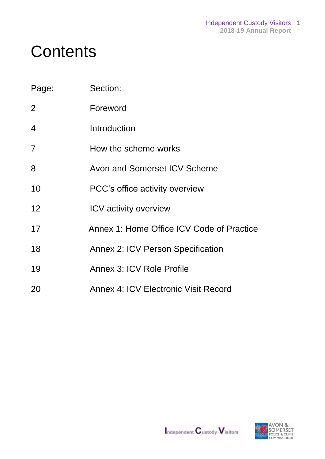# **Contents**

| Page:          | Section:                                    |
|----------------|---------------------------------------------|
| 2              | Foreword                                    |
| 4              | Introduction                                |
| $\overline{7}$ | How the scheme works                        |
| 8              | Avon and Somerset ICV Scheme                |
| 10             | PCC's office activity overview              |
| 12             | <b>ICV</b> activity overview                |
| 17             | Annex 1: Home Office ICV Code of Practice   |
| 18             | <b>Annex 2: ICV Person Specification</b>    |
| 19             | Annex 3: ICV Role Profile                   |
| 20             | <b>Annex 4: ICV Electronic Visit Record</b> |

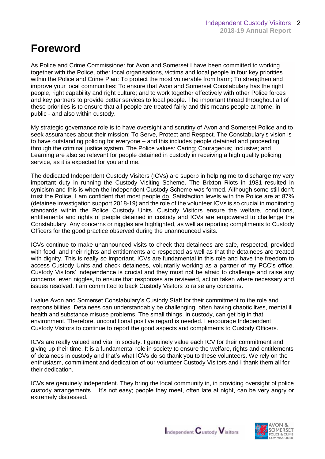### **Foreword**

As Police and Crime Commissioner for Avon and Somerset I have been committed to working together with the Police, other local organisations, victims and local people in four key priorities within the Police and Crime Plan: To protect the most vulnerable from harm; To strengthen and improve your local communities; To ensure that Avon and Somerset Constabulary has the right people, right capability and right culture; and to work together effectively with other Police forces and key partners to provide better services to local people. The important thread throughout all of these priorities is to ensure that all people are treated fairly and this means people at home, in public - and also within custody.

My strategic governance role is to have oversight and scrutiny of Avon and Somerset Police and to seek assurances about their mission: To Serve, Protect and Respect. The Constabulary's vision is to have outstanding policing for everyone – and this includes people detained and proceeding through the criminal justice system. The Police values: Caring; Courageous; Inclusive; and Learning are also so relevant for people detained in custody in receiving a high quality policing service, as it is expected for you and me.

The dedicated Independent Custody Visitors (ICVs) are superb in helping me to discharge my very important duty in running the Custody Visiting Scheme. The Brixton Riots in 1981 resulted in cynicism and this is when the Independent Custody Scheme was formed. Although some still don't trust the Police, I am confident that most people do. Satisfaction levels with the Police are at 87% (detainee investigation support 2018-19) and the role of the volunteer ICVs is so crucial in monitoring standards within the Police Custody Units. Custody Visitors ensure the welfare, conditions, entitlements and rights of people detained in custody and ICVs are empowered to challenge the Constabulary. Any concerns or niggles are highlighted, as well as reporting compliments to Custody Officers for the good practice observed during the unannounced visits.

ICVs continue to make unannounced visits to check that detainees are safe, respected, provided with food, and their rights and entitlements are respected as well as that the detainees are treated with dignity. This is really so important. ICVs are fundamental in this role and have the freedom to access Custody Units and check detainees, voluntarily working as a partner of my PCC's office. Custody Visitors' independence is crucial and they must not be afraid to challenge and raise any concerns, even niggles, to ensure that responses are reviewed, action taken where necessary and issues resolved. I am committed to back Custody Visitors to raise any concerns.

I value Avon and Somerset Constabulary's Custody Staff for their commitment to the role and responsibilities. Detainees can understandably be challenging, often having chaotic lives, mental ill health and substance misuse problems. The small things, in custody, can get big in that environment. Therefore, unconditional positive regard is needed. I encourage Independent Custody Visitors to continue to report the good aspects and compliments to Custody Officers.

ICVs are really valued and vital in society. I genuinely value each ICV for their commitment and giving up their time. It is a fundamental role in society to ensure the welfare, rights and entitlements of detainees in custody and that's what ICVs do so thank you to these volunteers. We rely on the enthusiasm, commitment and dedication of our volunteer Custody Visitors and I thank them all for their dedication.

ICVs are genuinely independent. They bring the local community in, in providing oversight of police custody arrangements. It's not easy; people they meet, often late at night, can be very angry or extremely distressed.



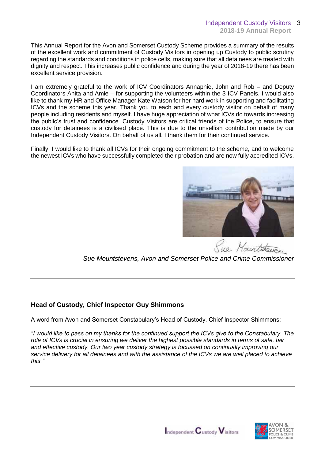This Annual Report for the Avon and Somerset Custody Scheme provides a summary of the results of the excellent work and commitment of Custody Visitors in opening up Custody to public scrutiny regarding the standards and conditions in police cells, making sure that all detainees are treated with dignity and respect. This increases public confidence and during the year of 2018-19 there has been excellent service provision.

I am extremely grateful to the work of ICV Coordinators Annaphie, John and Rob – and Deputy Coordinators Anita and Amie – for supporting the volunteers within the 3 ICV Panels. I would also like to thank my HR and Office Manager Kate Watson for her hard work in supporting and facilitating ICVs and the scheme this year. Thank you to each and every custody visitor on behalf of many people including residents and myself. I have huge appreciation of what ICVs do towards increasing the public's trust and confidence. Custody Visitors are critical friends of the Police, to ensure that custody for detainees is a civilised place. This is due to the unselfish contribution made by our Independent Custody Visitors. On behalf of us all, I thank them for their continued service.

Finally, I would like to thank all ICVs for their ongoing commitment to the scheme, and to welcome the newest ICVs who have successfully completed their probation and are now fully accredited ICVs.



Le Maintsteven

*Sue Mountstevens, Avon and Somerset Police and Crime Commissioner* 

#### **Head of Custody, Chief Inspector Guy Shimmons**

A word from Avon and Somerset Constabulary's Head of Custody, Chief Inspector Shimmons:

*"I would like to pass on my thanks for the continued support the ICVs give to the Constabulary. The role of ICVs is crucial in ensuring we deliver the highest possible standards in terms of safe, fair and effective custody. Our two year custody strategy is focussed on continually improving our service delivery for all detainees and with the assistance of the ICVs we are well placed to achieve this."*



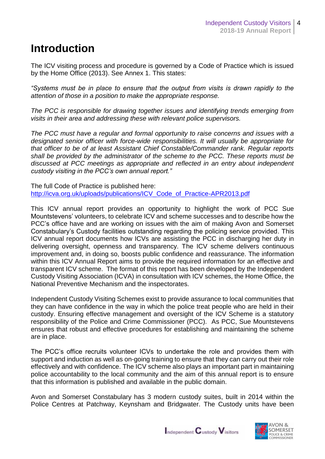### **Introduction**

The ICV visiting process and procedure is governed by a Code of Practice which is issued by the Home Office (2013). See Annex 1. This states:

*"Systems must be in place to ensure that the output from visits is drawn rapidly to the attention of those in a position to make the appropriate response.* 

*The PCC is responsible for drawing together issues and identifying trends emerging from visits in their area and addressing these with relevant police supervisors.* 

*The PCC must have a regular and formal opportunity to raise concerns and issues with a designated senior officer with force-wide responsibilities. It will usually be appropriate for that officer to be of at least Assistant Chief Constable/Commander rank. Regular reports shall be provided by the administrator of the scheme to the PCC. These reports must be discussed at PCC meetings as appropriate and reflected in an entry about independent custody visiting in the PCC's own annual report."*

The full Code of Practice is published here: [http://icva.org.uk/uploads/publications/ICV\\_Code\\_of\\_Practice-APR2013.pdf](http://icva.org.uk/uploads/publications/ICV_Code_of_Practice-APR2013.pdf)

This ICV annual report provides an opportunity to highlight the work of PCC Sue Mountstevens' volunteers, to celebrate ICV and scheme successes and to describe how the PCC's office have and are working on issues with the aim of making Avon and Somerset Constabulary's Custody facilities outstanding regarding the policing service provided. This ICV annual report documents how ICVs are assisting the PCC in discharging her duty in delivering oversight, openness and transparency. The ICV scheme delivers continuous improvement and, in doing so, boosts public confidence and reassurance. The information within this ICV Annual Report aims to provide the required information for an effective and transparent ICV scheme. The format of this report has been developed by the Independent Custody Visiting Association (ICVA) in consultation with ICV schemes, the Home Office, the National Preventive Mechanism and the inspectorates.

Independent Custody Visiting Schemes exist to provide assurance to local communities that they can have confidence in the way in which the police treat people who are held in their custody. Ensuring effective management and oversight of the ICV Scheme is a statutory responsibility of the Police and Crime Commissioner (PCC). As PCC, Sue Mountstevens ensures that robust and effective procedures for establishing and maintaining the scheme are in place.

The PCC's office recruits volunteer ICVs to undertake the role and provides them with support and induction as well as on-going training to ensure that they can carry out their role effectively and with confidence. The ICV scheme also plays an important part in maintaining police accountability to the local community and the aim of this annual report is to ensure that this information is published and available in the public domain.

Avon and Somerset Constabulary has 3 modern custody suites, built in 2014 within the Police Centres at Patchway, Keynsham and Bridgwater. The Custody units have been



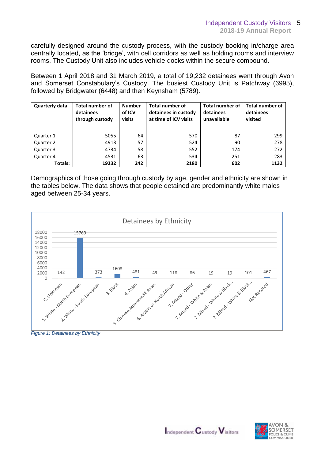carefully designed around the custody process, with the custody booking in/charge area centrally located, as the 'bridge', with cell corridors as well as holding rooms and interview rooms. The Custody Unit also includes vehicle docks within the secure compound.

Between 1 April 2018 and 31 March 2019, a total of 19,232 detainees went through Avon and Somerset Constabulary's Custody. The busiest Custody Unit is Patchway (6995), followed by Bridgwater (6448) and then Keynsham (5789).

| <b>Quarterly data</b> | <b>Total number of</b><br>detainees<br>through custody | <b>Number</b><br>of ICV<br>visits | <b>Total number of</b><br>detainees in custody<br>at time of ICV visits | <b>Total number of</b><br>detainees<br>unavailable | <b>Total number of</b><br>detainees<br>visited |
|-----------------------|--------------------------------------------------------|-----------------------------------|-------------------------------------------------------------------------|----------------------------------------------------|------------------------------------------------|
| Quarter 1             | 5055                                                   | 64                                | 570                                                                     | 87                                                 | 299                                            |
| Quarter 2             | 4913                                                   | 57                                | 524                                                                     | 90                                                 | 278                                            |
| Quarter 3             | 4734                                                   | 58                                | 552                                                                     | 174                                                | 272                                            |
| Quarter 4             | 4531                                                   | 63                                | 534                                                                     | 251                                                | 283                                            |
| <b>Totals:</b>        | 19232                                                  | 242                               | 2180                                                                    | 602                                                | 1132                                           |

Demographics of those going through custody by age, gender and ethnicity are shown in the tables below. The data shows that people detained are predominantly white males aged between 25-34 years.



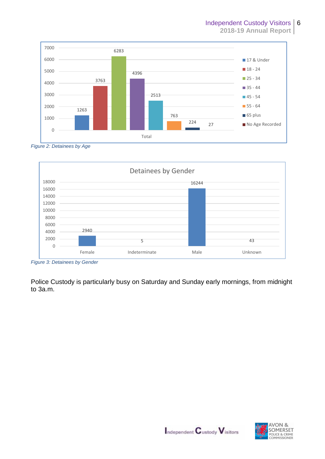





*Figure 3: Detainees by Gender*

Police Custody is particularly busy on Saturday and Sunday early mornings, from midnight to 3a.m.



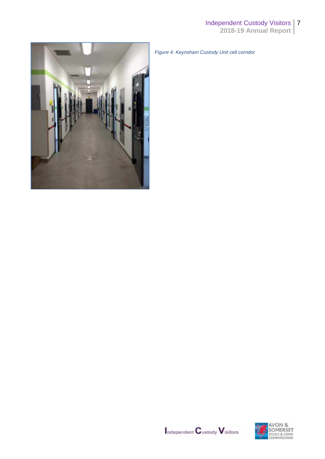

*Figure 4: Keynsham Custody Unit cell corridor*



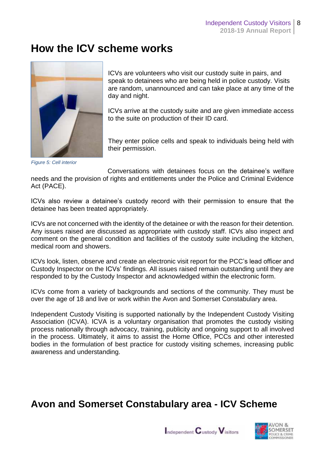### **How the ICV scheme works**



*Figure 5: Cell interior*

Act (PACE).

ICVs are volunteers who visit our custody suite in pairs, and speak to detainees who are being held in police custody. Visits are random, unannounced and can take place at any time of the day and night.

ICVs arrive at the custody suite and are given immediate access to the suite on production of their ID card.

They enter police cells and speak to individuals being held with their permission.

Conversations with detainees focus on the detainee's welfare needs and the provision of rights and entitlements under the Police and Criminal Evidence

ICVs also review a detainee's custody record with their permission to ensure that the detainee has been treated appropriately.

ICVs are not concerned with the identity of the detainee or with the reason for their detention. Any issues raised are discussed as appropriate with custody staff. ICVs also inspect and comment on the general condition and facilities of the custody suite including the kitchen, medical room and showers.

ICVs look, listen, observe and create an electronic visit report for the PCC's lead officer and Custody Inspector on the ICVs' findings. All issues raised remain outstanding until they are responded to by the Custody Inspector and acknowledged within the electronic form.

ICVs come from a variety of backgrounds and sections of the community. They must be over the age of 18 and live or work within the Avon and Somerset Constabulary area.

Independent Custody Visiting is supported nationally by the Independent Custody Visiting Association (ICVA). ICVA is a voluntary organisation that promotes the custody visiting process nationally through advocacy, training, publicity and ongoing support to all involved in the process. Ultimately, it aims to assist the Home Office, PCCs and other interested bodies in the formulation of best practice for custody visiting schemes, increasing public awareness and understanding.

### **Avon and Somerset Constabulary area - ICV Scheme**



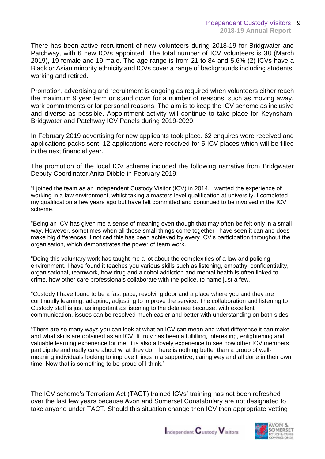There has been active recruitment of new volunteers during 2018-19 for Bridgwater and Patchway, with 6 new ICVs appointed. The total number of ICV volunteers is 38 (March 2019), 19 female and 19 male. The age range is from 21 to 84 and 5.6% (2) ICVs have a Black or Asian minority ethnicity and ICVs cover a range of backgrounds including students, working and retired.

Promotion, advertising and recruitment is ongoing as required when volunteers either reach the maximum 9 year term or stand down for a number of reasons, such as moving away, work commitments or for personal reasons. The aim is to keep the ICV scheme as inclusive and diverse as possible. Appointment activity will continue to take place for Keynsham, Bridgwater and Patchway ICV Panels during 2019-2020.

In February 2019 advertising for new applicants took place. 62 enquires were received and applications packs sent. 12 applications were received for 5 ICV places which will be filled in the next financial year.

The promotion of the local ICV scheme included the following narrative from Bridgwater Deputy Coordinator Anita Dibble in February 2019:

"I joined the team as an Independent Custody Visitor (ICV) in 2014. I wanted the experience of working in a law environment, whilst taking a masters level qualification at university. I completed my qualification a few years ago but have felt committed and continued to be involved in the ICV scheme.

"Being an ICV has given me a sense of meaning even though that may often be felt only in a small way. However, sometimes when all those small things come together I have seen it can and does make big differences. I noticed this has been achieved by every ICV's participation throughout the organisation, which demonstrates the power of team work.

"Doing this voluntary work has taught me a lot about the complexities of a law and policing environment. I have found it teaches you various skills such as listening, empathy, confidentiality, organisational, teamwork, how drug and alcohol addiction and mental health is often linked to crime, how other care professionals collaborate with the police, to name just a few.

"Custody I have found to be a fast pace, revolving door and a place where you and they are continually learning, adapting, adjusting to improve the service. The collaboration and listening to Custody staff is just as important as listening to the detainee because, with excellent communication, issues can be resolved much easier and better with understanding on both sides.

"There are so many ways you can look at what an ICV can mean and what difference it can make and what skills are obtained as an ICV. It truly has been a fulfilling, interesting, enlightening and valuable learning experience for me. It is also a lovely experience to see how other ICV members participate and really care about what they do. There is nothing better than a group of wellmeaning individuals looking to improve things in a supportive, caring way and all done in their own time. Now that is something to be proud of I think."

The ICV scheme's Terrorism Act (TACT) trained ICVs' training has not been refreshed over the last few years because Avon and Somerset Constabulary are not designated to take anyone under TACT. Should this situation change then ICV then appropriate vetting



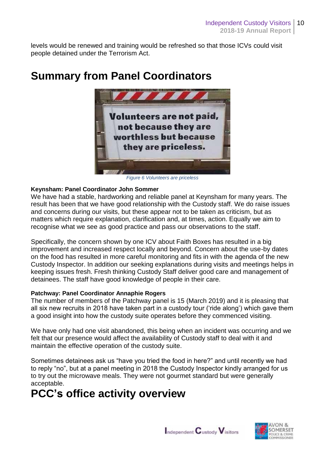levels would be renewed and training would be refreshed so that those ICVs could visit people detained under the Terrorism Act.



## **Summary from Panel Coordinators**

*Figure 6 Volunteers are priceless*

#### **Keynsham: Panel Coordinator John Sommer**

We have had a stable, hardworking and reliable panel at Keynsham for many years. The result has been that we have good relationship with the Custody staff. We do raise issues and concerns during our visits, but these appear not to be taken as criticism, but as matters which require explanation, clarification and, at times, action. Equally we aim to recognise what we see as good practice and pass our observations to the staff.

Specifically, the concern shown by one ICV about Faith Boxes has resulted in a big improvement and increased respect locally and beyond. Concern about the use-by dates on the food has resulted in more careful monitoring and fits in with the agenda of the new Custody Inspector. In addition our seeking explanations during visits and meetings helps in keeping issues fresh. Fresh thinking Custody Staff deliver good care and management of detainees. The staff have good knowledge of people in their care.

#### **Patchway: Panel Coordinator Annaphie Rogers**

The number of members of the Patchway panel is 15 (March 2019) and it is pleasing that all six new recruits in 2018 have taken part in a custody tour ('ride along') which gave them a good insight into how the custody suite operates before they commenced visiting.

We have only had one visit abandoned, this being when an incident was occurring and we felt that our presence would affect the availability of Custody staff to deal with it and maintain the effective operation of the custody suite.

Sometimes detainees ask us "have you tried the food in here?" and until recently we had to reply "no", but at a panel meeting in 2018 the Custody Inspector kindly arranged for us to try out the microwave meals. They were not gourmet standard but were generally acceptable.

## **PCC's office activity overview**

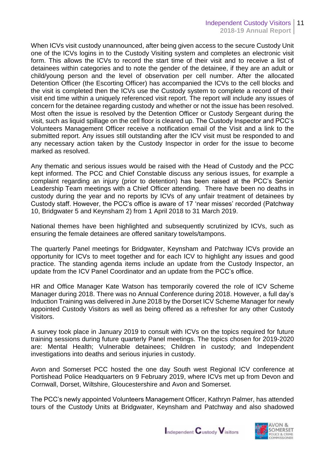When ICVs visit custody unannounced, after being given access to the secure Custody Unit one of the ICVs logins in to the Custody Visiting system and completes an electronic visit form. This allows the ICVs to record the start time of their visit and to receive a list of detainees within categories and to note the gender of the detainee, if they are an adult or child/young person and the level of observation per cell number. After the allocated Detention Officer (the Escorting Officer) has accompanied the ICVs to the cell blocks and the visit is completed then the ICVs use the Custody system to complete a record of their visit end time within a uniquely referenced visit report. The report will include any issues of concern for the detainee regarding custody and whether or not the issue has been resolved. Most often the issue is resolved by the Detention Officer or Custody Sergeant during the visit, such as liquid spillage on the cell floor is cleared up. The Custody Inspector and PCC's Volunteers Management Officer receive a notification email of the Visit and a link to the submitted report. Any issues still outstanding after the ICV visit must be responded to and any necessary action taken by the Custody Inspector in order for the issue to become marked as resolved.

Any thematic and serious issues would be raised with the Head of Custody and the PCC kept informed. The PCC and Chief Constable discuss any serious issues, for example a complaint regarding an injury (prior to detention) has been raised at the PCC's Senior Leadership Team meetings with a Chief Officer attending. There have been no deaths in custody during the year and no reports by ICVs of any unfair treatment of detainees by Custody staff. However, the PCC's office is aware of 17 'near misses' recorded (Patchway 10, Bridgwater 5 and Keynsham 2) from 1 April 2018 to 31 March 2019.

National themes have been highlighted and subsequently scrutinized by ICVs, such as ensuring the female detainees are offered sanitary towels/tampons.

The quarterly Panel meetings for Bridgwater, Keynsham and Patchway ICVs provide an opportunity for ICVs to meet together and for each ICV to highlight any issues and good practice. The standing agenda items include an update from the Custody Inspector, an update from the ICV Panel Coordinator and an update from the PCC's office.

HR and Office Manager Kate Watson has temporarily covered the role of ICV Scheme Manager during 2018. There was no Annual Conference during 2018. However, a full day's Induction Training was delivered in June 2018 by the Dorset ICV Scheme Manager for newly appointed Custody Visitors as well as being offered as a refresher for any other Custody Visitors.

A survey took place in January 2019 to consult with ICVs on the topics required for future training sessions during future quarterly Panel meetings. The topics chosen for 2019-2020 are: Mental Health; Vulnerable detainees; Children in custody; and Independent investigations into deaths and serious injuries in custody.

Avon and Somerset PCC hosted the one day South west Regional ICV conference at Portishead Police Headquarters on 9 February 2019, where ICVs met up from Devon and Cornwall, Dorset, Wiltshire, Gloucestershire and Avon and Somerset.

The PCC's newly appointed Volunteers Management Officer, Kathryn Palmer, has attended tours of the Custody Units at Bridgwater, Keynsham and Patchway and also shadowed



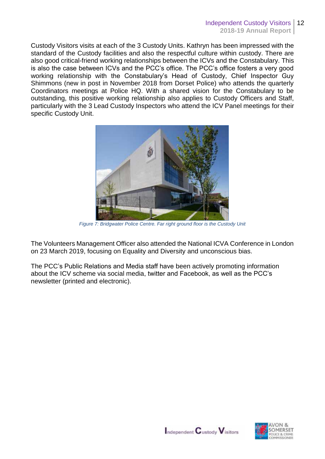Custody Visitors visits at each of the 3 Custody Units. Kathryn has been impressed with the standard of the Custody facilities and also the respectful culture within custody. There are also good critical-friend working relationships between the ICVs and the Constabulary. This is also the case between ICVs and the PCC's office. The PCC's office fosters a very good working relationship with the Constabulary's Head of Custody, Chief Inspector Guy Shimmons (new in post in November 2018 from Dorset Police) who attends the quarterly Coordinators meetings at Police HQ. With a shared vision for the Constabulary to be outstanding, this positive working relationship also applies to Custody Officers and Staff, particularly with the 3 Lead Custody Inspectors who attend the ICV Panel meetings for their specific Custody Unit.



*Figure 7: Bridgwater Police Centre. Far right ground floor is the Custody Unit*

The Volunteers Management Officer also attended the National ICVA Conference in London on 23 March 2019, focusing on Equality and Diversity and unconscious bias.

The PCC's Public Relations and Media staff have been actively promoting information about the ICV scheme via social media, twitter and Facebook, as well as the PCC's newsletter (printed and electronic).

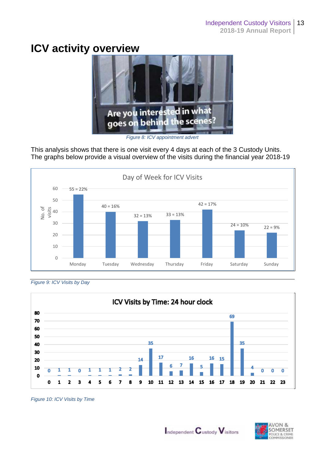### **ICV activity overview**



*Figure 8: ICV appointment advert*

This analysis shows that there is one visit every 4 days at each of the 3 Custody Units. The graphs below provide a visual overview of the visits during the financial year 2018-19



*Figure 9: ICV Visits by Day*



*Figure 10: ICV Visits by Time*



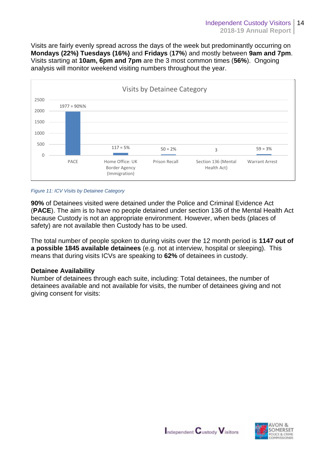Visits are fairly evenly spread across the days of the week but predominantly occurring on **Mondays (22%) Tuesdays (16%)** and **Fridays** (**17%**) and mostly between **9am and 7pm**. Visits starting at **10am, 6pm and 7pm** are the 3 most common times (**56%**). Ongoing analysis will monitor weekend visiting numbers throughout the year.



#### *Figure 11: ICV Visits by Detainee Category*

**90%** of Detainees visited were detained under the Police and Criminal Evidence Act (**PACE**). The aim is to have no people detained under section 136 of the Mental Health Act because Custody is not an appropriate environment. However, when beds (places of safety) are not available then Custody has to be used.

The total number of people spoken to during visits over the 12 month period is **1147 out of a possible 1845 available detainees** (e.g. not at interview, hospital or sleeping). This means that during visits ICVs are speaking to **62%** of detainees in custody.

#### **Detainee Availability**

Number of detainees through each suite, including: Total detainees, the number of detainees available and not available for visits, the number of detainees giving and not giving consent for visits:

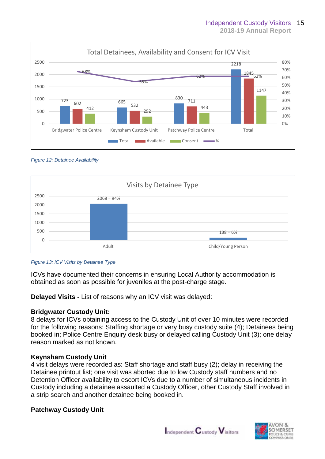





#### *Figure 13: ICV Visits by Detainee Type*

ICVs have documented their concerns in ensuring Local Authority accommodation is obtained as soon as possible for juveniles at the post-charge stage.

**Delayed Visits -** List of reasons why an ICV visit was delayed:

#### **Bridgwater Custody Unit:**

8 delays for ICVs obtaining access to the Custody Unit of over 10 minutes were recorded for the following reasons: Staffing shortage or very busy custody suite (4); Detainees being booked in; Police Centre Enquiry desk busy or delayed calling Custody Unit (3); one delay reason marked as not known.

#### **Keynsham Custody Unit**

4 visit delays were recorded as: Staff shortage and staff busy (2); delay in receiving the Detainee printout list; one visit was aborted due to low Custody staff numbers and no Detention Officer availability to escort ICVs due to a number of simultaneous incidents in Custody including a detainee assaulted a Custody Officer, other Custody Staff involved in a strip search and another detainee being booked in.

#### **Patchway Custody Unit**



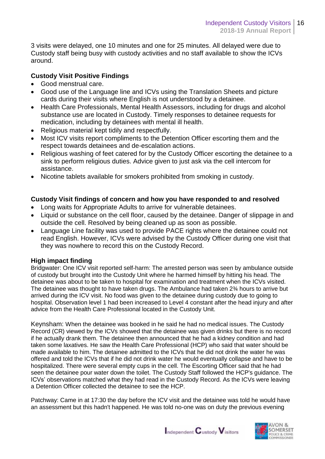3 visits were delayed, one 10 minutes and one for 25 minutes. All delayed were due to Custody staff being busy with custody activities and no staff available to show the ICVs around.

#### **Custody Visit Positive Findings**

- Good menstrual care.
- Good use of the Language line and ICVs using the Translation Sheets and picture cards during their visits where English is not understood by a detainee.
- Health Care Professionals, Mental Health Assessors, including for drugs and alcohol substance use are located in Custody. Timely responses to detainee requests for medication, including by detainees with mental ill health.
- Religious material kept tidily and respectfully.
- Most ICV visits report compliments to the Detention Officer escorting them and the respect towards detainees and de-escalation actions.
- Religious washing of feet catered for by the Custody Officer escorting the detainee to a sink to perform religious duties. Advice given to just ask via the cell intercom for assistance.
- Nicotine tablets available for smokers prohibited from smoking in custody.

#### **Custody Visit findings of concern and how you have responded to and resolved**

- Long waits for Appropriate Adults to arrive for vulnerable detainees.
- Liquid or substance on the cell floor, caused by the detainee. Danger of slippage in and outside the cell. Resolved by being cleaned up as soon as possible.
- Language Line facility was used to provide PACE rights where the detainee could not read English. However, ICVs were advised by the Custody Officer during one visit that they was nowhere to record this on the Custody Record.

#### **High impact finding**

Bridgwater: One ICV visit reported self-harm: The arrested person was seen by ambulance outside of custody but brought into the Custody Unit where he harmed himself by hitting his head. The detainee was about to be taken to hospital for examination and treatment when the ICVs visited. The detainee was thought to have taken drugs. The Ambulance had taken 2¾ hours to arrive but arrived during the ICV visit. No food was given to the detainee during custody due to going to hospital. Observation level 1 had been increased to Level 4 constant after the head injury and after advice from the Health Care Professional located in the Custody Unit.

Keynsham: When the detainee was booked in he said he had no medical issues. The Custody Record (CR) viewed by the ICVs showed that the detainee was given drinks but there is no record if he actually drank them. The detainee then announced that he had a kidney condition and had taken some laxatives. He saw the Health Care Professional (HCP) who said that water should be made available to him. The detainee admitted to the ICVs that he did not drink the water he was offered and told the ICVs that if he did not drink water he would eventually collapse and have to be hospitalized. There were several empty cups in the cell. The Escorting Officer said that he had seen the detainee pour water down the toilet. The Custody Staff followed the HCP's guidance. The ICVs' observations matched what they had read in the Custody Record. As the ICVs were leaving a Detention Officer collected the detainee to see the HCP.

Patchway: Came in at 17:30 the day before the ICV visit and the detainee was told he would have an assessment but this hadn't happened. He was told no-one was on duty the previous evening



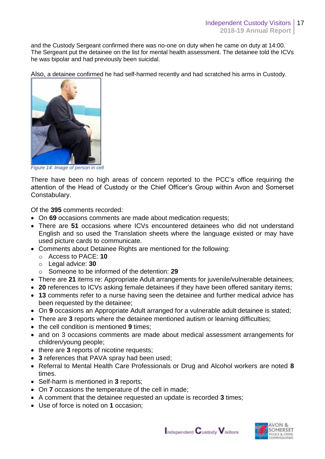and the Custody Sergeant confirmed there was no-one on duty when he came on duty at 14:00. The Sergeant put the detainee on the list for mental health assessment. The detainee told the ICVs he was bipolar and had previously been suicidal.

Also, a detainee confirmed he had self-harmed recently and had scratched his arms in Custody.



*Figure 14: Image of person in cell*

There have been no high areas of concern reported to the PCC's office requiring the attention of the Head of Custody or the Chief Officer's Group within Avon and Somerset Constabulary.

Of the **395** comments recorded:

- On **69** occasions comments are made about medication requests;
- There are **51** occasions where ICVs encountered detainees who did not understand English and so used the Translation sheets where the language existed or may have used picture cards to communicate.
- Comments about Detainee Rights are mentioned for the following:
	- o Access to PACE: **10**
	- o Legal advice: **30**
	- o Someone to be informed of the detention: **29**
- There are **21** items re: Appropriate Adult arrangements for juvenile/vulnerable detainees;
- **20** references to ICVs asking female detainees if they have been offered sanitary items;
- **13** comments refer to a nurse having seen the detainee and further medical advice has been requested by the detainee;
- On **9** occasions an Appropriate Adult arranged for a vulnerable adult detainee is stated;
- There are **3** reports where the detainee mentioned autism or learning difficulties;
- the cell condition is mentioned 9 times:
- and on 3 occasions comments are made about medical assessment arrangements for children/young people;
- there are 3 reports of nicotine requests;
- **3** references that PAVA spray had been used;
- Referral to Mental Health Care Professionals or Drug and Alcohol workers are noted **8**  times.
- Self-harm is mentioned in **3** reports;
- On **7** occasions the temperature of the cell in made;
- A comment that the detainee requested an update is recorded **3** times;
- Use of force is noted on **1** occasion;



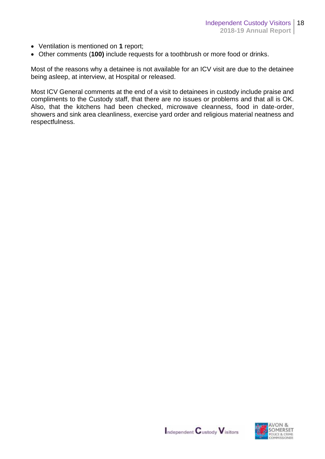- Ventilation is mentioned on **1** report;
- Other comments (**100)** include requests for a toothbrush or more food or drinks.

Most of the reasons why a detainee is not available for an ICV visit are due to the detainee being asleep, at interview, at Hospital or released.

Most ICV General comments at the end of a visit to detainees in custody include praise and compliments to the Custody staff, that there are no issues or problems and that all is OK. Also, that the kitchens had been checked, microwave cleanness, food in date-order, showers and sink area cleanliness, exercise yard order and religious material neatness and respectfulness.



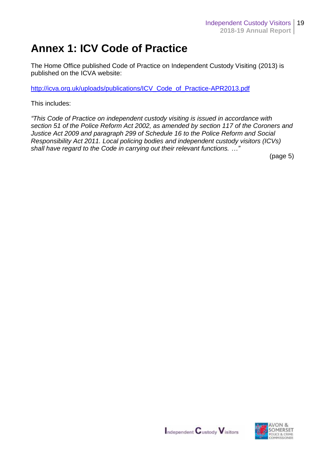### **Annex 1: ICV Code of Practice**

The Home Office published Code of Practice on Independent Custody Visiting (2013) is published on the ICVA website:

[http://icva.org.uk/uploads/publications/ICV\\_Code\\_of\\_Practice-APR2013.pdf](http://icva.org.uk/uploads/publications/ICV_Code_of_Practice-APR2013.pdf)

This includes:

*"This Code of Practice on independent custody visiting is issued in accordance with section 51 of the Police Reform Act 2002, as amended by section 117 of the Coroners and Justice Act 2009 and paragraph 299 of Schedule 16 to the Police Reform and Social Responsibility Act 2011. Local policing bodies and independent custody visitors (ICVs) shall have regard to the Code in carrying out their relevant functions. …"*

(page 5)



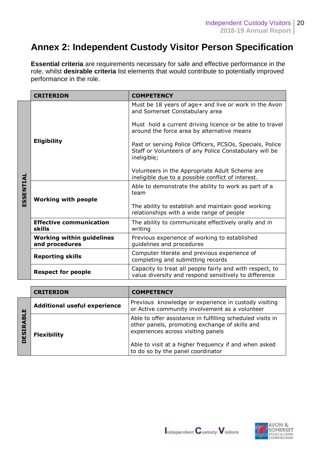### **Annex 2: Independent Custody Visitor Person Specification**

**Essential criteria** are requirements necessary for safe and effective performance in the role, whilst **desirable criteria** list elements that would contribute to potentially improved performance in the role.

|           | <b>CRITERION</b>                                   | <b>COMPETENCY</b>                                                                                                                 |  |  |  |
|-----------|----------------------------------------------------|-----------------------------------------------------------------------------------------------------------------------------------|--|--|--|
| ESSENTIAL |                                                    | Must be 18 years of age+ and live or work in the Avon<br>and Somerset Constabulary area                                           |  |  |  |
|           |                                                    | Must hold a current driving licence or be able to travel<br>around the force area by alternative means                            |  |  |  |
|           | <b>Eligibility</b>                                 | Past or serving Police Officers, PCSOs, Specials, Police<br>Staff or Volunteers of any Police Constabulary will be<br>ineligible; |  |  |  |
|           |                                                    | Volunteers in the Appropriate Adult Scheme are<br>ineligible due to a possible conflict of interest.                              |  |  |  |
|           |                                                    | Able to demonstrate the ability to work as part of a<br>team                                                                      |  |  |  |
|           | <b>Working with people</b>                         | The ability to establish and maintain good working<br>relationships with a wide range of people                                   |  |  |  |
|           | <b>Effective communication</b><br>skills           | The ability to communicate effectively orally and in<br>writing                                                                   |  |  |  |
|           | <b>Working within guidelines</b><br>and procedures | Previous experience of working to established<br>guidelines and procedures                                                        |  |  |  |
|           | <b>Reporting skills</b>                            | Computer literate and previous experience of<br>completing and submitting records                                                 |  |  |  |
|           | <b>Respect for people</b>                          | Capacity to treat all people fairly and with respect, to<br>value diversity and respond sensitively to difference                 |  |  |  |

|   | <b>CRITERION</b>                    | <b>COMPETENCY</b>                                                                                                                                                                                           |  |  |
|---|-------------------------------------|-------------------------------------------------------------------------------------------------------------------------------------------------------------------------------------------------------------|--|--|
| ш | <b>Additional useful experience</b> | Previous knowledge or experience in custody visiting<br>or Active community involvement as a volunteer                                                                                                      |  |  |
| ξ | <b>Flexibility</b>                  | Able to offer assistance in fulfilling scheduled visits in<br>other panels, promoting exchange of skills and<br>experiences across visiting panels<br>Able to visit at a higher frequency if and when asked |  |  |
|   |                                     | to do so by the panel coordinator                                                                                                                                                                           |  |  |



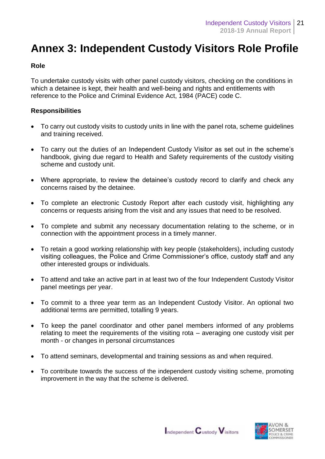### **Annex 3: Independent Custody Visitors Role Profile**

#### **Role**

To undertake custody visits with other panel custody visitors, checking on the conditions in which a detainee is kept, their health and well-being and rights and entitlements with reference to the Police and Criminal Evidence Act, 1984 (PACE) code C.

#### **Responsibilities**

- To carry out custody visits to custody units in line with the panel rota, scheme guidelines and training received.
- To carry out the duties of an Independent Custody Visitor as set out in the scheme's handbook, giving due regard to Health and Safety requirements of the custody visiting scheme and custody unit.
- Where appropriate, to review the detainee's custody record to clarify and check any concerns raised by the detainee.
- To complete an electronic Custody Report after each custody visit, highlighting any concerns or requests arising from the visit and any issues that need to be resolved.
- To complete and submit any necessary documentation relating to the scheme, or in connection with the appointment process in a timely manner.
- To retain a good working relationship with key people (stakeholders), including custody visiting colleagues, the Police and Crime Commissioner's office, custody staff and any other interested groups or individuals.
- To attend and take an active part in at least two of the four Independent Custody Visitor panel meetings per year.
- To commit to a three year term as an Independent Custody Visitor. An optional two additional terms are permitted, totalling 9 years.
- To keep the panel coordinator and other panel members informed of any problems relating to meet the requirements of the visiting rota – averaging one custody visit per month - or changes in personal circumstances
- To attend seminars, developmental and training sessions as and when required.
- To contribute towards the success of the independent custody visiting scheme, promoting improvement in the way that the scheme is delivered.